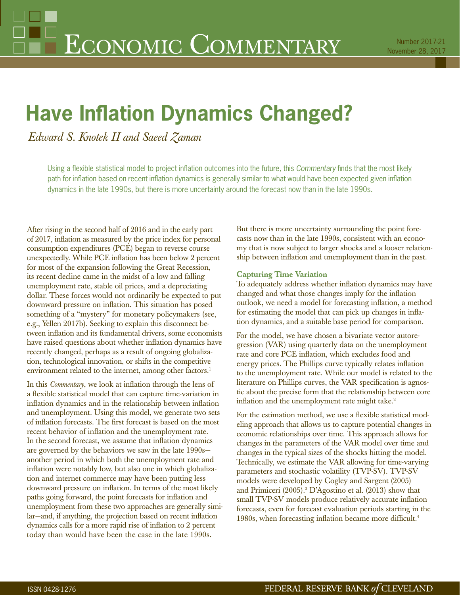# **Have Inflation Dynamics Changed?**

*Edward S. Knotek II and Saeed Zaman*

Using a flexible statistical model to project inflation outcomes into the future, this *Commentary* finds that the most likely path for inflation based on recent inflation dynamics is generally similar to what would have been expected given inflation dynamics in the late 1990s, but there is more uncertainty around the forecast now than in the late 1990s.

After rising in the second half of 2016 and in the early part of 2017, inflation as measured by the price index for personal consumption expenditures (PCE) began to reverse course unexpectedly. While PCE inflation has been below 2 percent for most of the expansion following the Great Recession, its recent decline came in the midst of a low and falling unemployment rate, stable oil prices, and a depreciating dollar. These forces would not ordinarily be expected to put downward pressure on inflation. This situation has posed something of a "mystery" for monetary policymakers (see, e.g., Yellen 2017b). Seeking to explain this disconnect between inflation and its fundamental drivers, some economists have raised questions about whether inflation dynamics have recently changed, perhaps as a result of ongoing globalization, technological innovation, or shifts in the competitive environment related to the internet, among other factors.<sup>1</sup>

In this *Commentary*, we look at inflation through the lens of a flexible statistical model that can capture time-variation in inflation dynamics and in the relationship between inflation and unemployment. Using this model, we generate two sets of inflation forecasts. The first forecast is based on the most recent behavior of inflation and the unemployment rate. In the second forecast, we assume that inflation dynamics are governed by the behaviors we saw in the late 1990s another period in which both the unemployment rate and inflation were notably low, but also one in which globalization and internet commerce may have been putting less downward pressure on inflation. In terms of the most likely paths going forward, the point forecasts for inflation and unemployment from these two approaches are generally similar-and, if anything, the projection based on recent inflation dynamics calls for a more rapid rise of inflation to 2 percent today than would have been the case in the late 1990s.

But there is more uncertainty surrounding the point forecasts now than in the late 1990s, consistent with an economy that is now subject to larger shocks and a looser relationship between inflation and unemployment than in the past.

# **Capturing Time Variation**

To adequately address whether inflation dynamics may have changed and what those changes imply for the inflation outlook, we need a model for forecasting inflation, a method for estimating the model that can pick up changes in inflation dynamics, and a suitable base period for comparison.

For the model, we have chosen a bivariate vector autoregression (VAR) using quarterly data on the unemployment rate and core PCE inflation, which excludes food and energy prices. The Phillips curve typically relates inflation to the unemployment rate. While our model is related to the literature on Phillips curves, the VAR specification is agnostic about the precise form that the relationship between core inflation and the unemployment rate might take.<sup>2</sup>

For the estimation method, we use a flexible statistical modeling approach that allows us to capture potential changes in economic relationships over time. This approach allows for changes in the parameters of the VAR model over time and changes in the typical sizes of the shocks hitting the model. Technically, we estimate the VAR allowing for time-varying parameters and stochastic volatility (TVP-SV). TVP-SV models were developed by Cogley and Sargent (2005) and Primiceri (2005).3 D'Agostino et al. (2013) show that small TVP-SV models produce relatively accurate inflation forecasts, even for forecast evaluation periods starting in the 1980s, when forecasting inflation became more difficult.<sup>4</sup>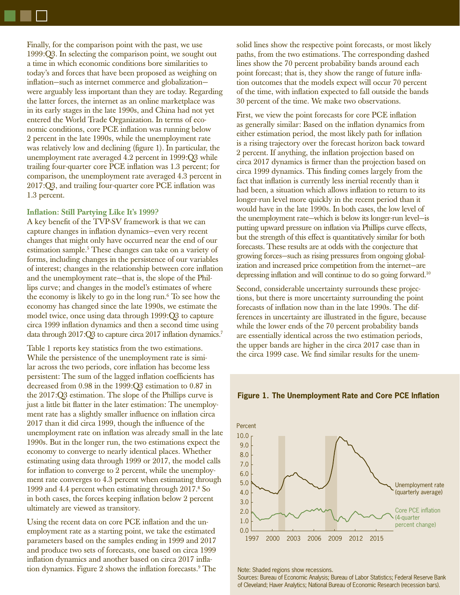Finally, for the comparison point with the past, we use 1999:Q3. In selecting the comparison point, we sought out a time in which economic conditions bore similarities to today's and forces that have been proposed as weighing on inflation—such as internet commerce and globalization were arguably less important than they are today. Regarding the latter forces, the internet as an online marketplace was in its early stages in the late 1990s, and China had not yet entered the World Trade Organization. In terms of economic conditions, core PCE inflation was running below 2 percent in the late 1990s, while the unemployment rate was relatively low and declining (figure 1). In particular, the unemployment rate averaged 4.2 percent in 1999:Q3 while trailing four-quarter core PCE inflation was 1.3 percent; for comparison, the unemployment rate averaged 4.3 percent in 2017:Q3, and trailing four-quarter core PCE inflation was 1.3 percent.

### **Inflation: Still Partying Like It's 1999?**

A key benefit of the TVP-SV framework is that we can capture changes in inflation dynamics-even very recent changes that might only have occurred near the end of our estimation sample.<sup>5</sup> These changes can take on a variety of forms, including changes in the persistence of our variables of interest; changes in the relationship between core inflation and the unemployment rate—that is, the slope of the Phillips curve; and changes in the model's estimates of where the economy is likely to go in the long run.6 To see how the economy has changed since the late 1990s, we estimate the model twice, once using data through 1999:Q3 to capture circa 1999 inflation dynamics and then a second time using data through 2017:Q3 to capture circa 2017 inflation dynamics.<sup>7</sup>

Table 1 reports key statistics from the two estimations. While the persistence of the unemployment rate is similar across the two periods, core inflation has become less persistent: The sum of the lagged inflation coefficients has decreased from 0.98 in the 1999:Q3 estimation to 0.87 in the 2017:Q3 estimation. The slope of the Phillips curve is just a little bit flatter in the later estimation: The unemployment rate has a slightly smaller influence on inflation circa 2017 than it did circa 1999, though the influence of the unemployment rate on inflation was already small in the late 1990s. But in the longer run, the two estimations expect the economy to converge to nearly identical places. Whether estimating using data through 1999 or 2017, the model calls for inflation to converge to 2 percent, while the unemployment rate converges to 4.3 percent when estimating through 1999 and 4.4 percent when estimating through 2017.8 So in both cases, the forces keeping inflation below 2 percent ultimately are viewed as transitory.

Using the recent data on core PCE inflation and the unemployment rate as a starting point, we take the estimated parameters based on the samples ending in 1999 and 2017 and produce two sets of forecasts, one based on circa 1999 inflation dynamics and another based on circa 2017 inflation dynamics. Figure 2 shows the inflation forecasts.<sup>9</sup> The solid lines show the respective point forecasts, or most likely paths, from the two estimations. The corresponding dashed lines show the 70 percent probability bands around each point forecast; that is, they show the range of future inflation outcomes that the models expect will occur 70 percent of the time, with inflation expected to fall outside the bands 30 percent of the time. We make two observations.

First, we view the point forecasts for core PCE inflation as generally similar: Based on the inflation dynamics from either estimation period, the most likely path for inflation is a rising trajectory over the forecast horizon back toward 2 percent. If anything, the inflation projection based on circa 2017 dynamics is firmer than the projection based on circa 1999 dynamics. This finding comes largely from the fact that inflation is currently less inertial recently than it had been, a situation which allows inflation to return to its longer-run level more quickly in the recent period than it would have in the late 1990s. In both cases, the low level of the unemployment rate—which is below its longer-run level—is putting upward pressure on inflation via Phillips curve effects, but the strength of this effect is quantitatively similar for both forecasts. These results are at odds with the conjecture that growing forces—such as rising pressures from ongoing globalization and increased price competition from the internet—are depressing inflation and will continue to do so going forward.<sup>10</sup>

Second, considerable uncertainty surrounds these projections, but there is more uncertainty surrounding the point forecasts of inflation now than in the late 1990s. The differences in uncertainty are illustrated in the figure, because while the lower ends of the 70 percent probability bands are essentially identical across the two estimation periods, the upper bands are higher in the circa 2017 case than in the circa 1999 case. We find similar results for the unem-



**Figure 1. The Unemployment Rate and Core PCE Inflation** 

Note: Shaded regions show recessions.

Sources: Bureau of Economic Analysis; Bureau of Labor Statistics; Federal Reserve Bank of Cleveland; Haver Analytics; National Bureau of Economic Research (recession bars).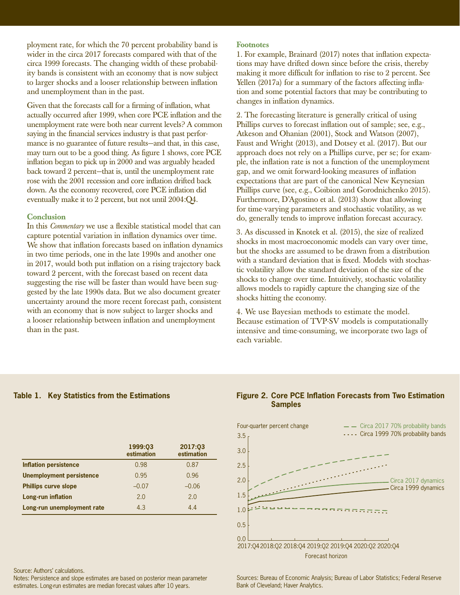ployment rate, for which the 70 percent probability band is wider in the circa 2017 forecasts compared with that of the circa 1999 forecasts. The changing width of these probability bands is consistent with an economy that is now subject to larger shocks and a looser relationship between inflation and unemployment than in the past.

Given that the forecasts call for a firming of inflation, what actually occurred after 1999, when core PCE inflation and the unemployment rate were both near current levels? A common saying in the financial services industry is that past performance is no guarantee of future results—and that, in this case, may turn out to be a good thing. As figure 1 shows, core PCE inflation began to pick up in 2000 and was arguably headed back toward 2 percent—that is, until the unemployment rate rose with the 2001 recession and core inflation drifted back down. As the economy recovered, core PCE inflation did eventually make it to 2 percent, but not until 2004:Q4.

#### **Conclusion**

In this *Commentary* we use a flexible statistical model that can capture potential variation in inflation dynamics over time. We show that inflation forecasts based on inflation dynamics in two time periods, one in the late 1990s and another one in 2017, would both put inflation on a rising trajectory back toward 2 percent, with the forecast based on recent data suggesting the rise will be faster than would have been suggested by the late 1990s data. But we also document greater uncertainty around the more recent forecast path, consistent with an economy that is now subject to larger shocks and a looser relationship between inflation and unemployment than in the past.

#### **Footnotes**

1. For example, Brainard (2017) notes that inflation expectations may have drifted down since before the crisis, thereby making it more difficult for inflation to rise to 2 percent. See Yellen (2017a) for a summary of the factors affecting inflation and some potential factors that may be contributing to changes in inflation dynamics.

2. The forecasting literature is generally critical of using Phillips curves to forecast inflation out of sample; see, e.g., Atkeson and Ohanian (2001), Stock and Watson (2007), Faust and Wright (2013), and Dotsey et al. (2017). But our approach does not rely on a Phillips curve, per se; for example, the inflation rate is not a function of the unemployment gap, and we omit forward-looking measures of inflation expectations that are part of the canonical New Keynesian Phillips curve (see, e.g., Coibion and Gorodnichenko 2015). Furthermore, D'Agostino et al. (2013) show that allowing for time-varying parameters and stochastic volatility, as we do, generally tends to improve inflation forecast accuracy.

3. As discussed in Knotek et al. (2015), the size of realized shocks in most macroeconomic models can vary over time, but the shocks are assumed to be drawn from a distribution with a standard deviation that is fixed. Models with stochastic volatility allow the standard deviation of the size of the shocks to change over time. Intuitively, stochastic volatility allows models to rapidly capture the changing size of the shocks hitting the economy.

4. We use Bayesian methods to estimate the model. Because estimation of TVP-SV models is computationally intensive and time-consuming, we incorporate two lags of each variable.

|                                 | 1999:03<br>estimation | 2017:03<br>estimation |
|---------------------------------|-----------------------|-----------------------|
| <b>Inflation persistence</b>    | 0.98                  | 0.87                  |
| <b>Unemployment persistence</b> | 0.95                  | 0.96                  |
| <b>Phillips curve slope</b>     | $-0.07$               | $-0.06$               |
| Long-run inflation              | 2.0                   | 2.0                   |
| Long-run unemployment rate      | 4.3                   | 4.4                   |

Source: Authors' calculations.

Notes: Persistence and slope estimates are based on posterior mean parameter estimates. Long-run estimates are median forecast values after 10 years.





Sources: Bureau of Economic Analysis; Bureau of Labor Statistics; Federal Reserve Bank of Cleveland; Haver Analytics.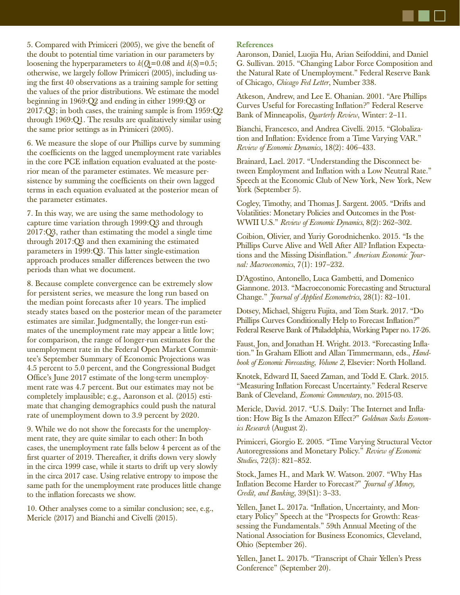5. Compared with Primiceri (2005), we give the benefit of the doubt to potential time variation in our parameters by loosening the hyperparameters to  $k(Q)=0.08$  and  $k(S)=0.5$ ; otherwise, we largely follow Primiceri (2005), including using the first 40 observations as a training sample for setting the values of the prior distributions. We estimate the model beginning in 1969:Q2 and ending in either 1999:Q3 or 2017:Q3; in both cases, the training sample is from 1959:Q2 through 1969:Q1. The results are qualitatively similar using the same prior settings as in Primiceri (2005).

6. We measure the slope of our Phillips curve by summing the coefficients on the lagged unemployment rate variables in the core PCE inflation equation evaluated at the posterior mean of the parameter estimates. We measure persistence by summing the coefficients on their own lagged terms in each equation evaluated at the posterior mean of the parameter estimates.

7. In this way, we are using the same methodology to capture time variation through 1999:Q3 and through 2017:Q3, rather than estimating the model a single time through 2017:Q3 and then examining the estimated parameters in 1999:Q3. This latter single-estimation approach produces smaller differences between the two periods than what we document.

8. Because complete convergence can be extremely slow for persistent series, we measure the long run based on the median point forecasts after 10 years. The implied steady states based on the posterior mean of the parameter estimates are similar. Judgmentally, the longer-run estimates of the unemployment rate may appear a little low; for comparison, the range of longer-run estimates for the unemployment rate in the Federal Open Market Committee's September Summary of Economic Projections was 4.5 percent to 5.0 percent, and the Congressional Budget Office's June 2017 estimate of the long-term unemployment rate was 4.7 percent. But our estimates may not be completely implausible; e.g., Aaronson et al. (2015) estimate that changing demographics could push the natural rate of unemployment down to 3.9 percent by 2020.

9. While we do not show the forecasts for the unemployment rate, they are quite similar to each other: In both cases, the unemployment rate falls below 4 percent as of the first quarter of 2019. Thereafter, it drifts down very slowly in the circa 1999 case, while it starts to drift up very slowly in the circa 2017 case. Using relative entropy to impose the same path for the unemployment rate produces little change to the inflation forecasts we show.

10. Other analyses come to a similar conclusion; see, e.g., Mericle (2017) and Bianchi and Civelli (2015).

## **References**

Aaronson, Daniel, Luojia Hu, Arian Seifoddini, and Daniel G. Sullivan. 2015. "Changing Labor Force Composition and the Natural Rate of Unemployment." Federal Reserve Bank of Chicago, *Chicago Fed Letter*, Number 338.

Atkeson, Andrew, and Lee E. Ohanian. 2001. "Are Phillips Curves Useful for Forecasting Inflation?" Federal Reserve Bank of Minneapolis, *Quarterly Review*, Winter: 2–11.

Bianchi, Francesco, and Andrea Civelli. 2015. "Globalization and Inflation: Evidence from a Time Varying VAR." *Review of Economic Dynamics,* 18(2): 406–433.

Brainard, Lael. 2017. "Understanding the Disconnect between Employment and Inflation with a Low Neutral Rate." Speech at the Economic Club of New York, New York, New York (September 5).

Cogley, Timothy, and Thomas J. Sargent. 2005. "Drifts and Volatilities: Monetary Policies and Outcomes in the Post-WWII U.S." *Review of Economic Dynamics*, 8(2): 262–302.

Coibion, Olivier, and Yuriy Gorodnichenko. 2015. "Is the Phillips Curve Alive and Well After All? Inflation Expectations and the Missing Disinflation." *American Economic Journal: Macroeconomics*, 7(1): 197–232.

D'Agostino, Antonello, Luca Gambetti, and Domenico Giannone. 2013. "Macroeconomic Forecasting and Structural Change." *Journal of Applied Econometrics*, 28(1): 82–101.

Dotsey, Michael, Shigeru Fujita, and Tom Stark. 2017. "Do Phillips Curves Conditionally Help to Forecast Inflation?" Federal Reserve Bank of Philadelphia, Working Paper no. 17-26.

Faust, Jon, and Jonathan H. Wright. 2013. "Forecasting Inflation." In Graham Elliott and Allan Timmermann, eds., *Handbook of Economic Forecasting*, *Volume 2*, Elsevier: North Holland.

Knotek, Edward II, Saeed Zaman, and Todd E. Clark. 2015. "Measuring Inflation Forecast Uncertainty." Federal Reserve Bank of Cleveland, *Economic Commentary*, no. 2015-03.

Mericle, David. 2017. "U.S. Daily: The Internet and Inflation: How Big Is the Amazon Effect?" *Goldman Sachs Economics Research* (August 2).

Primiceri, Giorgio E. 2005. "Time Varying Structural Vector Autoregressions and Monetary Policy." *Review of Economic Studies*, 72(3): 821–852.

Stock, James H., and Mark W. Watson. 2007. "Why Has Inflation Become Harder to Forecast?" *Journal of Money*, *Credit, and Banking*, 39(S1): 3–33.

Yellen, Janet L. 2017a. "Inflation, Uncertainty, and Monetary Policy" Speech at the "Prospects for Growth: Reassessing the Fundamentals." 59th Annual Meeting of the National Association for Business Economics, Cleveland, Ohio (September 26).

Yellen, Janet L. 2017b. "Transcript of Chair Yellen's Press Conference" (September 20).